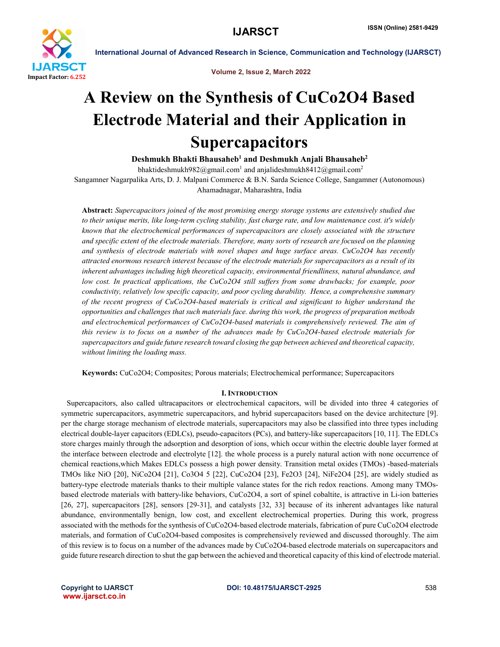

Volume 2, Issue 2, March 2022

# A Review on the Synthesis of CuCo2O4 Based Electrode Material and their Application in Supercapacitors

Deshmukh Bhakti Bhausaheb<sup>1</sup> and Deshmukh Anjali Bhausaheb<sup>2</sup>

bhaktideshmukh982@gmail.com<sup>1</sup> and anjalideshmukh8412@gmail.com<sup>2</sup>

Sangamner Nagarpalika Arts, D. J. Malpani Commerce & B.N. Sarda Science College, Sangamner (Autonomous) Ahamadnagar, Maharashtra, India

Abstract: *Supercapacitors joined of the most promising energy storage systems are extensively studied due to their unique merits, like long-term cycling stability, fast charge rate, and low maintenance cost. it's widely known that the electrochemical performances of supercapacitors are closely associated with the structure and specific extent of the electrode materials. Therefore, many sorts of research are focused on the planning and synthesis of electrode materials with novel shapes and huge surface areas. CuCo2O4 has recently attracted enormous research interest because of the electrode materials for supercapacitors as a result of its inherent advantages including high theoretical capacity, environmental friendliness, natural abundance, and low cost. In practical applications, the CuCo2O4 still suffers from some drawbacks; for example, poor conductivity, relatively low specific capacity, and poor cycling durability. Hence, a comprehensive summary of the recent progress of CuCo2O4-based materials is critical and significant to higher understand the opportunities and challenges that such materials face. during this work, the progress of preparation methods and electrochemical performances of CuCo2O4-based materials is comprehensively reviewed. The aim of this review is to focus on a number of the advances made by CuCo2O4-based electrode materials for supercapacitors and guide future research toward closing the gap between achieved and theoretical capacity, without limiting the loading mass.*

Keywords: CuCo2O4; Composites; Porous materials; Electrochemical performance; Supercapacitors

# I.INTRODUCTION

 Supercapacitors, also called ultracapacitors or electrochemical capacitors, will be divided into three 4 categories of symmetric supercapacitors, asymmetric supercapacitors, and hybrid supercapacitors based on the device architecture [9]. per the charge storage mechanism of electrode materials, supercapacitors may also be classified into three types including electrical double-layer capacitors (EDLCs), pseudo-capacitors (PCs), and battery-like supercapacitors [10, 11]. The EDLCs store charges mainly through the adsorption and desorption of ions, which occur within the electric double layer formed at the interface between electrode and electrolyte [12]. the whole process is a purely natural action with none occurrence of chemical reactions,which Makes EDLCs possess a high power density. Transition metal oxides (TMOs) -based-materials TMOs like NiO [20], NiCo2O4 [21], Co3O4 5 [22], CuCo2O4 [23], Fe2O3 [24], NiFe2O4 [25], are widely studied as battery-type electrode materials thanks to their multiple valance states for the rich redox reactions. Among many TMOsbased electrode materials with battery-like behaviors, CuCo2O4, a sort of spinel cobaltite, is attractive in Li-ion batteries [26, 27], supercapacitors [28], sensors [29-31], and catalysts [32, 33] because of its inherent advantages like natural abundance, environmentally benign, low cost, and excellent electrochemical properties. During this work, progress associated with the methods for the synthesis of CuCo2O4-based electrode materials, fabrication of pure CuCo2O4 electrode materials, and formation of CuCo2O4-based composites is comprehensively reviewed and discussed thoroughly. The aim of this review is to focus on a number of the advances made by CuCo2O4-based electrode materials on supercapacitors and guide future research direction to shut the gap between the achieved and theoretical capacity of this kind of electrode material.

www.ijarsct.co.in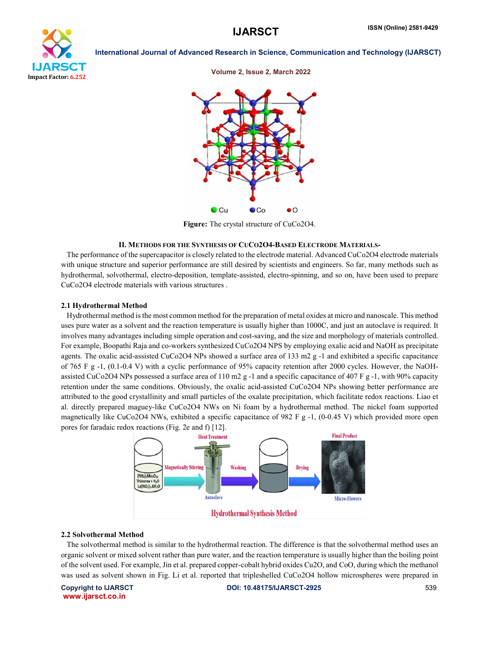





Figure: The crystal structure of CuCo2O4.

# II. METHODS FOR THE SYNTHESIS OF CUCO2O4-BASED ELECTRODE MATERIALS-

 The performance of the supercapacitor is closely related to the electrode material. Advanced CuCo2O4 electrode materials with unique structure and superior performance are still desired by scientists and engineers. So far, many methods such as hydrothermal, solvothermal, electro-deposition, template-assisted, electro-spinning, and so on, have been used to prepare CuCo2O4 electrode materials with various structures .

# 2.1 Hydrothermal Method

 Hydrothermal method is the most common method for the preparation of metal oxides at micro and nanoscale. This method uses pure water as a solvent and the reaction temperature is usually higher than 1000C, and just an autoclave is required. It involves many advantages including simple operation and cost-saving, and the size and morphology of materials controlled. For example, Boopathi Raja and co-workers synthesized CuCo2O4 NPS by employing oxalic acid and NaOH as precipitate agents. The oxalic acid-assisted CuCo2O4 NPs showed a surface area of 133 m2 g -1 and exhibited a specific capacitance of 765 F g -1, (0.1-0.4 V) with a cyclic performance of 95% capacity retention after 2000 cycles. However, the NaOHassisted CuCo2O4 NPs possessed a surface area of 110 m2 g -1 and a specific capacitance of 407 F g -1, with 90% capacity retention under the same conditions. Obviously, the oxalic acid-assisted CuCo2O4 NPs showing better performance are attributed to the good crystallinity and small particles of the oxalate precipitation, which facilitate redox reactions. Liao et al. directly prepared maguey-like CuCo2O4 NWs on Ni foam by a hydrothermal method. The nickel foam supported magnetically like CuCo2O4 NWs, exhibited a specific capacitance of 982 F g -1, (0-0.45 V) which provided more open pores for faradaic redox reactions (Fig. 2e and f) [12].



# 2.2 Solvothermal Method

 The solvothermal method is similar to the hydrothermal reaction. The difference is that the solvothermal method uses an organic solvent or mixed solvent rather than pure water, and the reaction temperature is usually higher than the boiling point of the solvent used. For example, Jin et al. prepared copper-cobalt hybrid oxides Cu2O, and CoO, during which the methanol was used as solvent shown in Fig. Li et al. reported that tripleshelled CuCo2O4 hollow microspheres were prepared in

www.ijarsct.co.in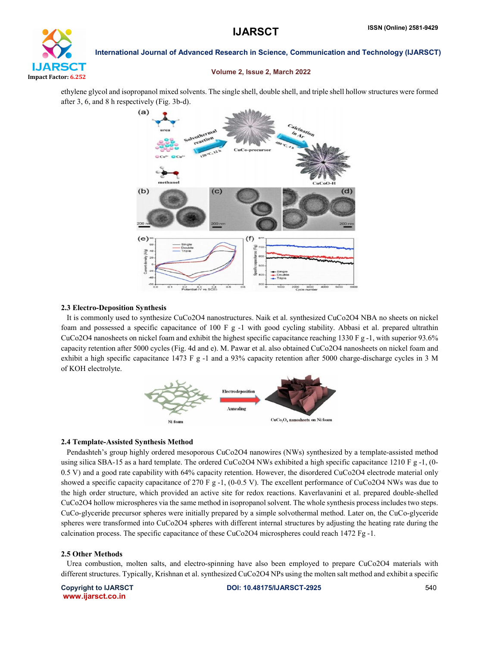

# Volume 2, Issue 2, March 2022

ethylene glycol and isopropanol mixed solvents. The single shell, double shell, and triple shell hollow structures were formed after 3, 6, and 8 h respectively (Fig. 3b-d).



## 2.3 Electro-Deposition Synthesis

 It is commonly used to synthesize CuCo2O4 nanostructures. Naik et al. synthesized CuCo2O4 NBA no sheets on nickel foam and possessed a specific capacitance of 100 F g -1 with good cycling stability. Abbasi et al. prepared ultrathin CuCo2O4 nanosheets on nickel foam and exhibit the highest specific capacitance reaching 1330 F g -1, with superior 93.6% capacity retention after 5000 cycles (Fig. 4d and e). M. Pawar et al. also obtained CuCo2O4 nanosheets on nickel foam and exhibit a high specific capacitance 1473 F g -1 and a 93% capacity retention after 5000 charge-discharge cycles in 3 M of KOH electrolyte.



# 2.4 Template-Assisted Synthesis Method

 Pendashteh's group highly ordered mesoporous CuCo2O4 nanowires (NWs) synthesized by a template-assisted method using silica SBA-15 as a hard template. The ordered CuCo2O4 NWs exhibited a high specific capacitance 1210 F g -1, (0-0.5 V) and a good rate capability with 64% capacity retention. However, the disordered CuCo2O4 electrode material only showed a specific capacity capacitance of 270 F g -1, (0-0.5 V). The excellent performance of CuCo2O4 NWs was due to the high order structure, which provided an active site for redox reactions. Kaverlavanini et al. prepared double-shelled CuCo2O4 hollow microspheres via the same method in isopropanol solvent. The whole synthesis process includes two steps. CuCo-glyceride precursor spheres were initially prepared by a simple solvothermal method. Later on, the CuCo-glyceride spheres were transformed into CuCo2O4 spheres with different internal structures by adjusting the heating rate during the calcination process. The specific capacitance of these CuCo2O4 microspheres could reach 1472 Fg -1.

## 2.5 Other Methods

 Urea combustion, molten salts, and electro-spinning have also been employed to prepare CuCo2O4 materials with different structures. Typically, Krishnan et al. synthesized CuCo2O4 NPs using the molten salt method and exhibit a specific

www.ijarsct.co.in

Copyright to IJARSCT DOI: 10.48175/IJARSCT-2925 540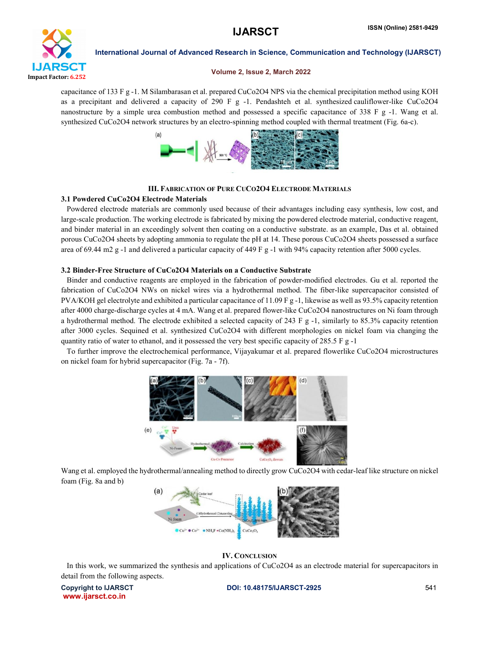

# Volume 2, Issue 2, March 2022

capacitance of 133 F g -1. M Silambarasan et al. prepared CuCo2O4 NPS via the chemical precipitation method using KOH as a precipitant and delivered a capacity of 290 F g -1. Pendashteh et al. synthesized cauliflower-like CuCo2O4 nanostructure by a simple urea combustion method and possessed a specific capacitance of 338 F g -1. Wang et al. synthesized CuCo2O4 network structures by an electro-spinning method coupled with thermal treatment (Fig. 6a-c).



# III. FABRICATION OF PURE CUCO2O4 ELECTRODE MATERIALS

# 3.1 Powdered CuCo2O4 Electrode Materials

 Powdered electrode materials are commonly used because of their advantages including easy synthesis, low cost, and large-scale production. The working electrode is fabricated by mixing the powdered electrode material, conductive reagent, and binder material in an exceedingly solvent then coating on a conductive substrate. as an example, Das et al. obtained porous CuCo2O4 sheets by adopting ammonia to regulate the pH at 14. These porous CuCo2O4 sheets possessed a surface area of 69.44 m2 g -1 and delivered a particular capacity of 449 F g -1 with 94% capacity retention after 5000 cycles.

# 3.2 Binder-Free Structure of CuCo2O4 Materials on a Conductive Substrate

 Binder and conductive reagents are employed in the fabrication of powder-modified electrodes. Gu et al. reported the fabrication of CuCo2O4 NWs on nickel wires via a hydrothermal method. The fiber-like supercapacitor consisted of PVA/KOH gel electrolyte and exhibited a particular capacitance of 11.09 F g -1, likewise as well as 93.5% capacity retention after 4000 charge-discharge cycles at 4 mA. Wang et al. prepared flower-like CuCo2O4 nanostructures on Ni foam through a hydrothermal method. The electrode exhibited a selected capacity of 243 F g -1, similarly to 85.3% capacity retention after 3000 cycles. Sequined et al. synthesized CuCo2O4 with different morphologies on nickel foam via changing the quantity ratio of water to ethanol, and it possessed the very best specific capacity of 285.5 F g -1

 To further improve the electrochemical performance, Vijayakumar et al. prepared flowerlike CuCo2O4 microstructures on nickel foam for hybrid supercapacitor (Fig. 7a - 7f).



Wang et al. employed the hydrothermal/annealing method to directly grow CuCo2O4 with cedar-leaf like structure on nickel foam (Fig. 8a and b)



IV. CONCLUSION

In this work, we summarized the synthesis and applications of CuCo2O4 as an electrode material for supercapacitors in detail from the following aspects.

www.ijarsct.co.in

Copyright to IJARSCT DOI: 10.48175/IJARSCT-2925 541